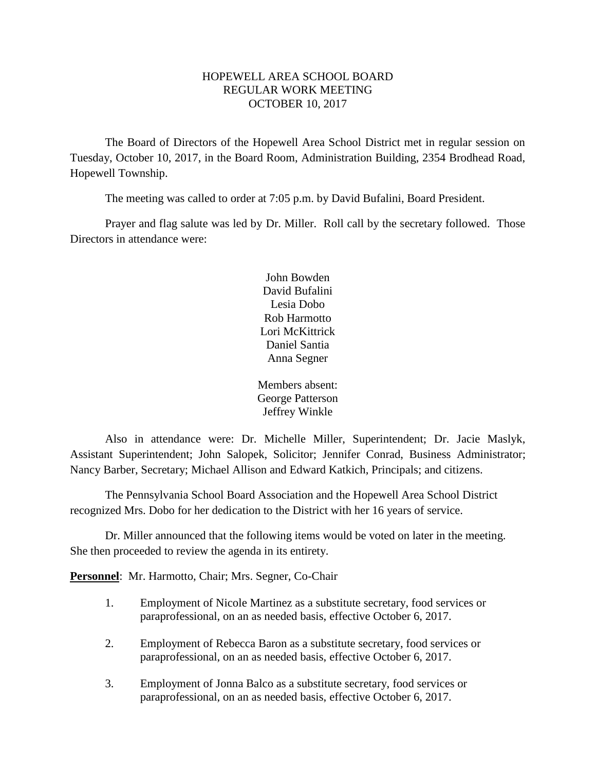## HOPEWELL AREA SCHOOL BOARD REGULAR WORK MEETING OCTOBER 10, 2017

The Board of Directors of the Hopewell Area School District met in regular session on Tuesday, October 10, 2017, in the Board Room, Administration Building, 2354 Brodhead Road, Hopewell Township.

The meeting was called to order at 7:05 p.m. by David Bufalini, Board President.

Prayer and flag salute was led by Dr. Miller. Roll call by the secretary followed. Those Directors in attendance were:

> John Bowden David Bufalini Lesia Dobo Rob Harmotto Lori McKittrick Daniel Santia Anna Segner

Members absent: George Patterson Jeffrey Winkle

Also in attendance were: Dr. Michelle Miller, Superintendent; Dr. Jacie Maslyk, Assistant Superintendent; John Salopek, Solicitor; Jennifer Conrad, Business Administrator; Nancy Barber, Secretary; Michael Allison and Edward Katkich, Principals; and citizens.

The Pennsylvania School Board Association and the Hopewell Area School District recognized Mrs. Dobo for her dedication to the District with her 16 years of service.

Dr. Miller announced that the following items would be voted on later in the meeting. She then proceeded to review the agenda in its entirety.

**Personnel**: Mr. Harmotto, Chair; Mrs. Segner, Co-Chair

- 1. Employment of Nicole Martinez as a substitute secretary, food services or paraprofessional, on an as needed basis, effective October 6, 2017.
- 2. Employment of Rebecca Baron as a substitute secretary, food services or paraprofessional, on an as needed basis, effective October 6, 2017.
- 3. Employment of Jonna Balco as a substitute secretary, food services or paraprofessional, on an as needed basis, effective October 6, 2017.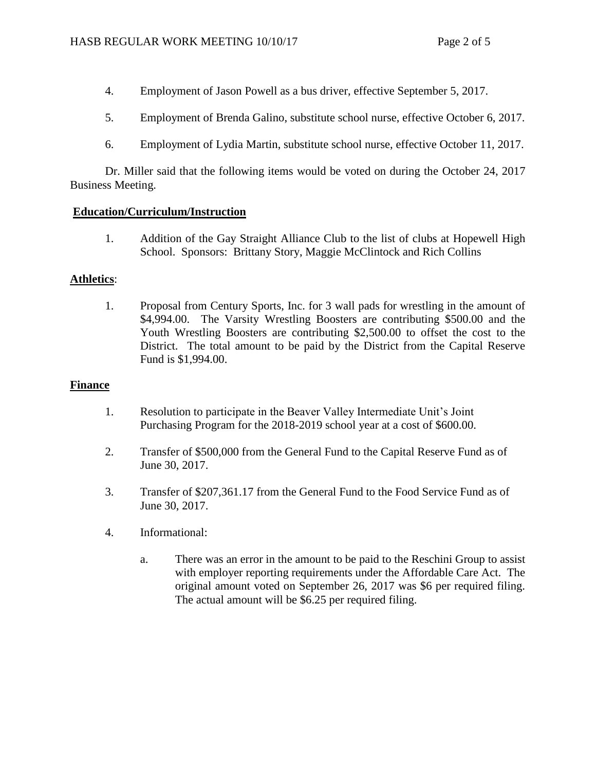- 4. Employment of Jason Powell as a bus driver, effective September 5, 2017.
- 5. Employment of Brenda Galino, substitute school nurse, effective October 6, 2017.
- 6. Employment of Lydia Martin, substitute school nurse, effective October 11, 2017.

Dr. Miller said that the following items would be voted on during the October 24, 2017 Business Meeting.

# **Education/Curriculum/Instruction**

1. Addition of the Gay Straight Alliance Club to the list of clubs at Hopewell High School. Sponsors: Brittany Story, Maggie McClintock and Rich Collins

# **Athletics**:

1. Proposal from Century Sports, Inc. for 3 wall pads for wrestling in the amount of \$4,994.00. The Varsity Wrestling Boosters are contributing \$500.00 and the Youth Wrestling Boosters are contributing \$2,500.00 to offset the cost to the District. The total amount to be paid by the District from the Capital Reserve Fund is \$1,994.00.

# **Finance**

- 1. Resolution to participate in the Beaver Valley Intermediate Unit's Joint Purchasing Program for the 2018-2019 school year at a cost of \$600.00.
- 2. Transfer of \$500,000 from the General Fund to the Capital Reserve Fund as of June 30, 2017.
- 3. Transfer of \$207,361.17 from the General Fund to the Food Service Fund as of June 30, 2017.
- 4. Informational:
	- a. There was an error in the amount to be paid to the Reschini Group to assist with employer reporting requirements under the Affordable Care Act. The original amount voted on September 26, 2017 was \$6 per required filing. The actual amount will be \$6.25 per required filing.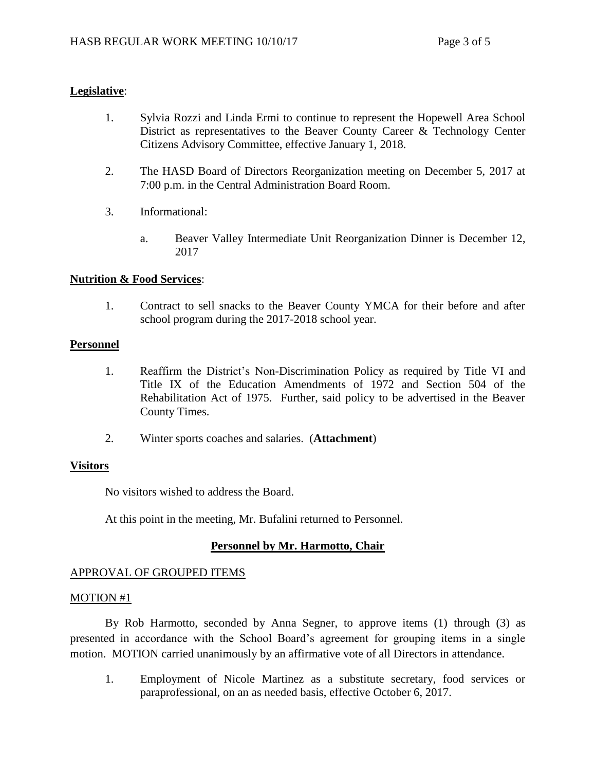# **Legislative**:

- 1. Sylvia Rozzi and Linda Ermi to continue to represent the Hopewell Area School District as representatives to the Beaver County Career & Technology Center Citizens Advisory Committee, effective January 1, 2018.
- 2. The HASD Board of Directors Reorganization meeting on December 5, 2017 at 7:00 p.m. in the Central Administration Board Room.
- 3. Informational:
	- a. Beaver Valley Intermediate Unit Reorganization Dinner is December 12, 2017

## **Nutrition & Food Services**:

1. Contract to sell snacks to the Beaver County YMCA for their before and after school program during the 2017-2018 school year.

## **Personnel**

- 1. Reaffirm the District's Non-Discrimination Policy as required by Title VI and Title IX of the Education Amendments of 1972 and Section 504 of the Rehabilitation Act of 1975. Further, said policy to be advertised in the Beaver County Times.
- 2. Winter sports coaches and salaries. (**Attachment**)

## **Visitors**

No visitors wished to address the Board.

At this point in the meeting, Mr. Bufalini returned to Personnel.

## **Personnel by Mr. Harmotto, Chair**

## APPROVAL OF GROUPED ITEMS

#### MOTION #1

By Rob Harmotto, seconded by Anna Segner, to approve items (1) through (3) as presented in accordance with the School Board's agreement for grouping items in a single motion. MOTION carried unanimously by an affirmative vote of all Directors in attendance.

1. Employment of Nicole Martinez as a substitute secretary, food services or paraprofessional, on an as needed basis, effective October 6, 2017.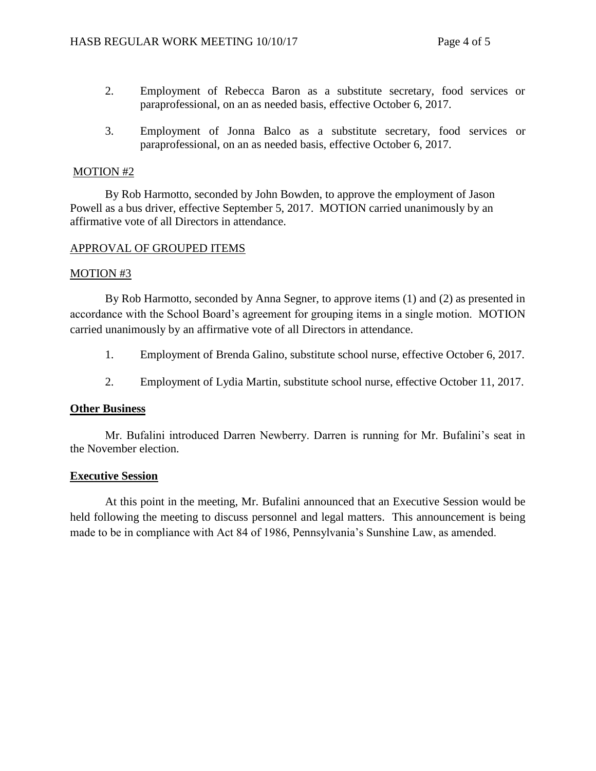- 2. Employment of Rebecca Baron as a substitute secretary, food services or paraprofessional, on an as needed basis, effective October 6, 2017.
- 3. Employment of Jonna Balco as a substitute secretary, food services or paraprofessional, on an as needed basis, effective October 6, 2017.

#### MOTION #2

By Rob Harmotto, seconded by John Bowden, to approve the employment of Jason Powell as a bus driver, effective September 5, 2017. MOTION carried unanimously by an affirmative vote of all Directors in attendance.

#### APPROVAL OF GROUPED ITEMS

#### MOTION #3

By Rob Harmotto, seconded by Anna Segner, to approve items (1) and (2) as presented in accordance with the School Board's agreement for grouping items in a single motion. MOTION carried unanimously by an affirmative vote of all Directors in attendance.

- 1. Employment of Brenda Galino, substitute school nurse, effective October 6, 2017.
- 2. Employment of Lydia Martin, substitute school nurse, effective October 11, 2017.

#### **Other Business**

Mr. Bufalini introduced Darren Newberry. Darren is running for Mr. Bufalini's seat in the November election.

#### **Executive Session**

At this point in the meeting, Mr. Bufalini announced that an Executive Session would be held following the meeting to discuss personnel and legal matters. This announcement is being made to be in compliance with Act 84 of 1986, Pennsylvania's Sunshine Law, as amended.